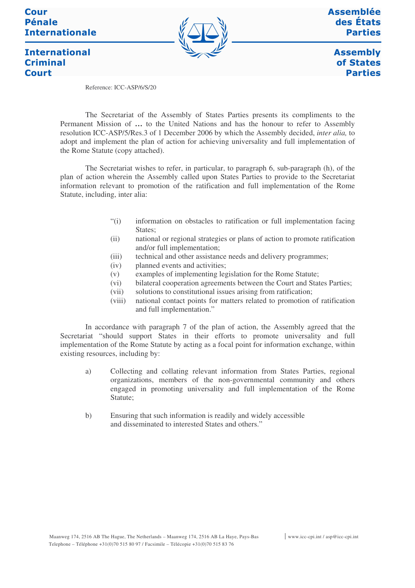### **Cour Pénale Internationale**

**International** 

**Criminal Court** 



**Assemblée** des États **Parties** 

**Assembly** of States **Parties** 

Reference: ICC-ASP/6/S/20

The Secretariat of the Assembly of States Parties presents its compliments to the Permanent Mission of **…** to the United Nations and has the honour to refer to Assembly resolution ICC-ASP/5/Res.3 of 1 December 2006 by which the Assembly decided, *inter alia,* to adopt and implement the plan of action for achieving universality and full implementation of the Rome Statute (copy attached).

The Secretariat wishes to refer, in particular, to paragraph 6, sub-paragraph (h), of the plan of action wherein the Assembly called upon States Parties to provide to the Secretariat information relevant to promotion of the ratification and full implementation of the Rome Statute, including, inter alia:

- "(i) information on obstacles to ratification or full implementation facing States:
- (ii) national or regional strategies or plans of action to promote ratification and/or full implementation;
- (iii) technical and other assistance needs and delivery programmes;
- (iv) planned events and activities;
- (v) examples of implementing legislation for the Rome Statute;
- (vi) bilateral cooperation agreements between the Court and States Parties;
- (vii) solutions to constitutional issues arising from ratification;
- (viii) national contact points for matters related to promotion of ratification and full implementation."

In accordance with paragraph 7 of the plan of action, the Assembly agreed that the Secretariat "should support States in their efforts to promote universality and full implementation of the Rome Statute by acting as a focal point for information exchange, within existing resources, including by:

- a) Collecting and collating relevant information from States Parties, regional organizations, members of the non-governmental community and others engaged in promoting universality and full implementation of the Rome Statute;
- b) Ensuring that such information is readily and widely accessible and disseminated to interested States and others."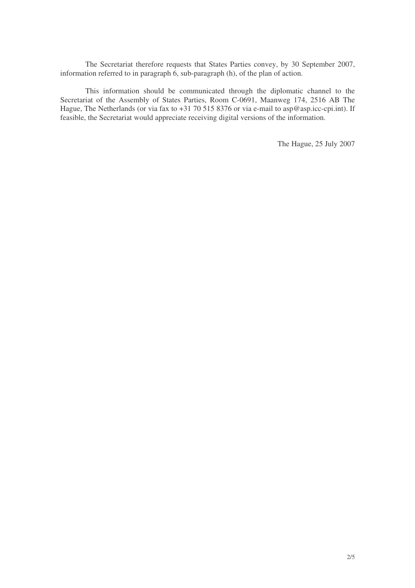The Secretariat therefore requests that States Parties convey, by 30 September 2007, information referred to in paragraph 6, sub-paragraph (h), of the plan of action.

This information should be communicated through the diplomatic channel to the Secretariat of the Assembly of States Parties, Room C-0691, Maanweg 174, 2516 AB The Hague, The Netherlands (or via fax to +31 70 515 8376 or via e-mail to asp@asp.icc-cpi.int). If feasible, the Secretariat would appreciate receiving digital versions of the information.

The Hague, 25 July 2007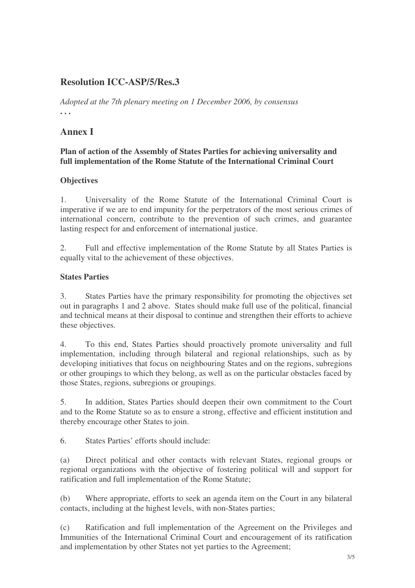# **Resolution ICC-ASP/5/Res.3**

*Adopted at the 7th plenary meeting on 1 December 2006, by consensus* **. . .**

## **Annex I**

#### **Plan of action of the Assembly of States Parties for achieving universality and full implementation of the Rome Statute of the International Criminal Court**

#### **Objectives**

1. Universality of the Rome Statute of the International Criminal Court is imperative if we are to end impunity for the perpetrators of the most serious crimes of international concern, contribute to the prevention of such crimes, and guarantee lasting respect for and enforcement of international justice.

2. Full and effective implementation of the Rome Statute by all States Parties is equally vital to the achievement of these objectives.

#### **States Parties**

3. States Parties have the primary responsibility for promoting the objectives set out in paragraphs 1 and 2 above. States should make full use of the political, financial and technical means at their disposal to continue and strengthen their efforts to achieve these objectives.

4. To this end, States Parties should proactively promote universality and full implementation, including through bilateral and regional relationships, such as by developing initiatives that focus on neighbouring States and on the regions, subregions or other groupings to which they belong, as well as on the particular obstacles faced by those States, regions, subregions or groupings.

5. In addition, States Parties should deepen their own commitment to the Court and to the Rome Statute so as to ensure a strong, effective and efficient institution and thereby encourage other States to join.

6. States Parties' efforts should include:

(a) Direct political and other contacts with relevant States, regional groups or regional organizations with the objective of fostering political will and support for ratification and full implementation of the Rome Statute;

(b) Where appropriate, efforts to seek an agenda item on the Court in any bilateral contacts, including at the highest levels, with non-States parties;

(c) Ratification and full implementation of the Agreement on the Privileges and Immunities of the International Criminal Court and encouragement of its ratification and implementation by other States not yet parties to the Agreement;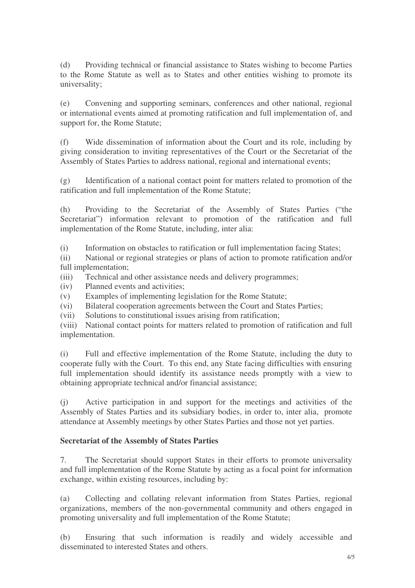(d) Providing technical or financial assistance to States wishing to become Parties to the Rome Statute as well as to States and other entities wishing to promote its universality;

(e) Convening and supporting seminars, conferences and other national, regional or international events aimed at promoting ratification and full implementation of, and support for, the Rome Statute;

(f) Wide dissemination of information about the Court and its role, including by giving consideration to inviting representatives of the Court or the Secretariat of the Assembly of States Parties to address national, regional and international events;

(g) Identification of a national contact point for matters related to promotion of the ratification and full implementation of the Rome Statute;

(h) Providing to the Secretariat of the Assembly of States Parties ("the Secretariat") information relevant to promotion of the ratification and full implementation of the Rome Statute, including, inter alia:

(i) Information on obstacles to ratification or full implementation facing States;

(ii) National or regional strategies or plans of action to promote ratification and/or full implementation;

(iii) Technical and other assistance needs and delivery programmes;

(iv) Planned events and activities;

(v) Examples of implementing legislation for the Rome Statute;

(vi) Bilateral cooperation agreements between the Court and States Parties;

(vii) Solutions to constitutional issues arising from ratification;

(viii) National contact points for matters related to promotion of ratification and full implementation.

(i) Full and effective implementation of the Rome Statute, including the duty to cooperate fully with the Court. To this end, any State facing difficulties with ensuring full implementation should identify its assistance needs promptly with a view to obtaining appropriate technical and/or financial assistance;

(j) Active participation in and support for the meetings and activities of the Assembly of States Parties and its subsidiary bodies, in order to, inter alia, promote attendance at Assembly meetings by other States Parties and those not yet parties.

#### **Secretariat of the Assembly of States Parties**

7. The Secretariat should support States in their efforts to promote universality and full implementation of the Rome Statute by acting as a focal point for information exchange, within existing resources, including by:

(a) Collecting and collating relevant information from States Parties, regional organizations, members of the non-governmental community and others engaged in promoting universality and full implementation of the Rome Statute;

(b) Ensuring that such information is readily and widely accessible and disseminated to interested States and others.